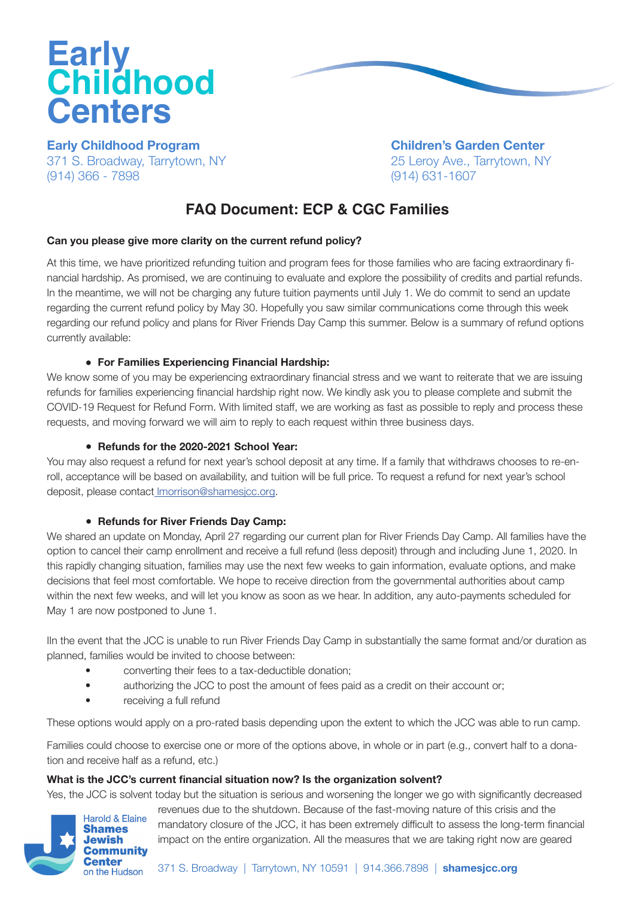# **Early Childhood Centers**

**Early Childhood Program**  371 S. Broadway, Tarrytown, NY (914) 366 - 7898

**Children's Garden Center** 25 Leroy Ave., Tarrytown, NY (914) 631-1607

# **FAQ Document: ECP & CGC Families**

# **Can you please give more clarity on the current refund policy?**

At this time, we have prioritized refunding tuition and program fees for those families who are facing extraordinary financial hardship. As promised, we are continuing to evaluate and explore the possibility of credits and partial refunds. In the meantime, we will not be charging any future tuition payments until July 1. We do commit to send an update regarding the current refund policy by May 30. Hopefully you saw similar communications come through this week regarding our refund policy and plans for River Friends Day Camp this summer. Below is a summary of refund options currently available:

# **● For Families Experiencing Financial Hardship:**

We know some of you may be experiencing extraordinary financial stress and we want to reiterate that we are issuing refunds for families experiencing financial hardship right now. We kindly ask you to please complete and submit the COVID-19 Request for Refund Form. With limited staff, we are working as fast as possible to reply and process these requests, and moving forward we will aim to reply to each request within three business days.

# **● Refunds for the 2020-2021 School Year:**

You may also request a refund for next year's school deposit at any time. If a family that withdraws chooses to re-enroll, acceptance will be based on availability, and tuition will be full price. To request a refund for next year's school deposit, please contact [lmorrison@shamesjcc.org](mailto:lmorrison@shamesjcc.org).

#### **● Refunds for River Friends Day Camp:**

We shared an update on Monday, April 27 regarding our current plan for River Friends Day Camp. All families have the option to cancel their camp enrollment and receive a full refund (less deposit) through and including June 1, 2020. In this rapidly changing situation, families may use the next few weeks to gain information, evaluate options, and make decisions that feel most comfortable. We hope to receive direction from the governmental authorities about camp within the next few weeks, and will let you know as soon as we hear. In addition, any auto-payments scheduled for May 1 are now postponed to June 1.

IIn the event that the JCC is unable to run River Friends Day Camp in substantially the same format and/or duration as planned, families would be invited to choose between:

- converting their fees to a tax-deductible donation;
- authorizing the JCC to post the amount of fees paid as a credit on their account or;
- receiving a full refund

These options would apply on a pro-rated basis depending upon the extent to which the JCC was able to run camp.

Families could choose to exercise one or more of the options above, in whole or in part (e.g., convert half to a donation and receive half as a refund, etc.)

# **What is the JCC's current financial situation now? Is the organization solvent?**

Yes, the JCC is solvent today but the situation is serious and worsening the longer we go with significantly decreased

revenues due to the shutdown. Because of the fast-moving nature of this crisis and the mandatory closure of the JCC, it has been extremely difficult to assess the long-term financial impact on the entire organization. All the measures that we are taking right now are geared